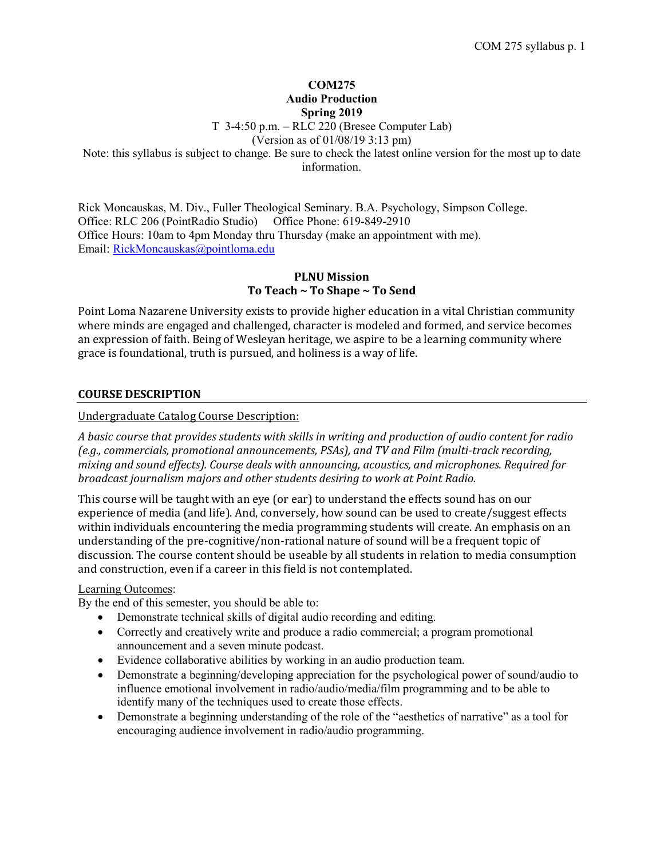## **COM275 Audio Production Spring 2019**

T 3-4:50 p.m. – RLC 220 (Bresee Computer Lab)

(Version as of 01/08/19 3:13 pm)

Note: this syllabus is subject to change. Be sure to check the latest online version for the most up to date information.

Rick Moncauskas, M. Div., Fuller Theological Seminary. B.A. Psychology, Simpson College. Office: RLC 206 (PointRadio Studio) Office Phone: 619-849-2910 Office Hours: 10am to 4pm Monday thru Thursday (make an appointment with me). Email: [RickMoncauskas@pointloma.edu](mailto:RickMoncauskas@pointloma.edu)

# **PLNU Mission To Teach ~ To Shape ~ To Send**

Point Loma Nazarene University exists to provide higher education in a vital Christian community where minds are engaged and challenged, character is modeled and formed, and service becomes an expression of faith. Being of Wesleyan heritage, we aspire to be a learning community where grace is foundational, truth is pursued, and holiness is a way of life.

## **COURSE DESCRIPTION**

### Undergraduate Catalog Course Description:

*A basic course that provides students with skills in writing and production of audio content for radio (e.g., commercials, promotional announcements, PSAs), and TV and Film (multi-track recording, mixing and sound effects). Course deals with announcing, acoustics, and microphones. Required for broadcast journalism majors and other students desiring to work at Point Radio.*

This course will be taught with an eye (or ear) to understand the effects sound has on our experience of media (and life). And, conversely, how sound can be used to create/suggest effects within individuals encountering the media programming students will create. An emphasis on an understanding of the pre-cognitive/non-rational nature of sound will be a frequent topic of discussion. The course content should be useable by all students in relation to media consumption and construction, even if a career in this field is not contemplated.

#### Learning Outcomes:

By the end of this semester, you should be able to:

- Demonstrate technical skills of digital audio recording and editing.
- Correctly and creatively write and produce a radio commercial; a program promotional announcement and a seven minute podcast.
- Evidence collaborative abilities by working in an audio production team.
- Demonstrate a beginning/developing appreciation for the psychological power of sound/audio to influence emotional involvement in radio/audio/media/film programming and to be able to identify many of the techniques used to create those effects.
- Demonstrate a beginning understanding of the role of the "aesthetics of narrative" as a tool for encouraging audience involvement in radio/audio programming.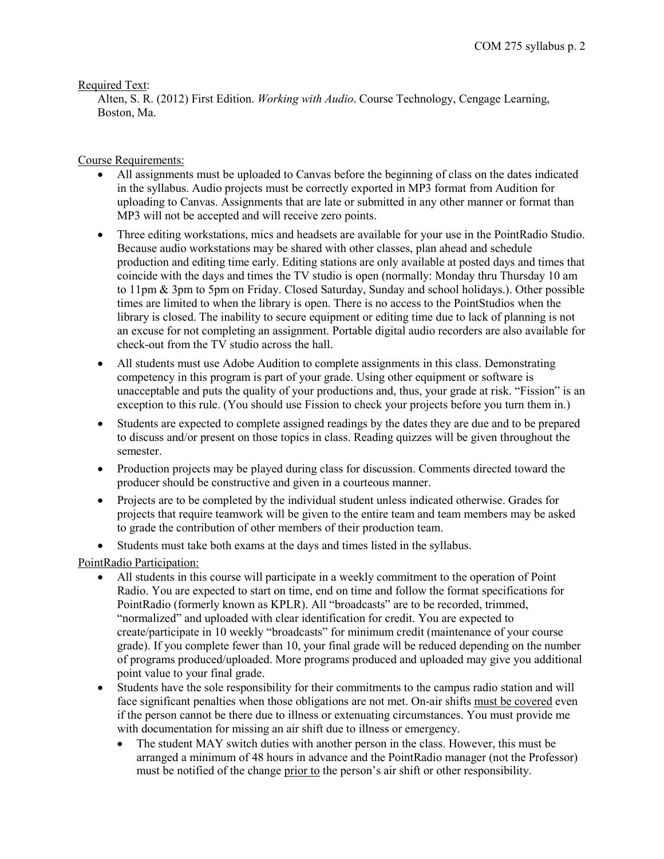## Required Text:

Alten, S. R. (2012) First Edition. *Working with Audio*. Course Technology, Cengage Learning, Boston, Ma.

# Course Requirements:

- All assignments must be uploaded to Canvas before the beginning of class on the dates indicated in the syllabus. Audio projects must be correctly exported in MP3 format from Audition for uploading to Canvas. Assignments that are late or submitted in any other manner or format than MP3 will not be accepted and will receive zero points.
- Three editing workstations, mics and headsets are available for your use in the PointRadio Studio. Because audio workstations may be shared with other classes, plan ahead and schedule production and editing time early. Editing stations are only available at posted days and times that coincide with the days and times the TV studio is open (normally: Monday thru Thursday 10 am to 11pm & 3pm to 5pm on Friday. Closed Saturday, Sunday and school holidays.). Other possible times are limited to when the library is open. There is no access to the PointStudios when the library is closed. The inability to secure equipment or editing time due to lack of planning is not an excuse for not completing an assignment. Portable digital audio recorders are also available for check-out from the TV studio across the hall.
- All students must use Adobe Audition to complete assignments in this class. Demonstrating competency in this program is part of your grade. Using other equipment or software is unacceptable and puts the quality of your productions and, thus, your grade at risk. "Fission" is an exception to this rule. (You should use Fission to check your projects before you turn them in.)
- Students are expected to complete assigned readings by the dates they are due and to be prepared to discuss and/or present on those topics in class. Reading quizzes will be given throughout the semester.
- Production projects may be played during class for discussion. Comments directed toward the producer should be constructive and given in a courteous manner.
- Projects are to be completed by the individual student unless indicated otherwise. Grades for projects that require teamwork will be given to the entire team and team members may be asked to grade the contribution of other members of their production team.
- Students must take both exams at the days and times listed in the syllabus.

# PointRadio Participation:

- All students in this course will participate in a weekly commitment to the operation of Point Radio. You are expected to start on time, end on time and follow the format specifications for PointRadio (formerly known as KPLR). All "broadcasts" are to be recorded, trimmed, "normalized" and uploaded with clear identification for credit. You are expected to create/participate in 10 weekly "broadcasts" for minimum credit (maintenance of your course grade). If you complete fewer than 10, your final grade will be reduced depending on the number of programs produced/uploaded. More programs produced and uploaded may give you additional point value to your final grade.
- Students have the sole responsibility for their commitments to the campus radio station and will face significant penalties when those obligations are not met. On-air shifts must be covered even if the person cannot be there due to illness or extenuating circumstances. You must provide me with documentation for missing an air shift due to illness or emergency.
	- The student MAY switch duties with another person in the class. However, this must be arranged a minimum of 48 hours in advance and the PointRadio manager (not the Professor) must be notified of the change prior to the person's air shift or other responsibility.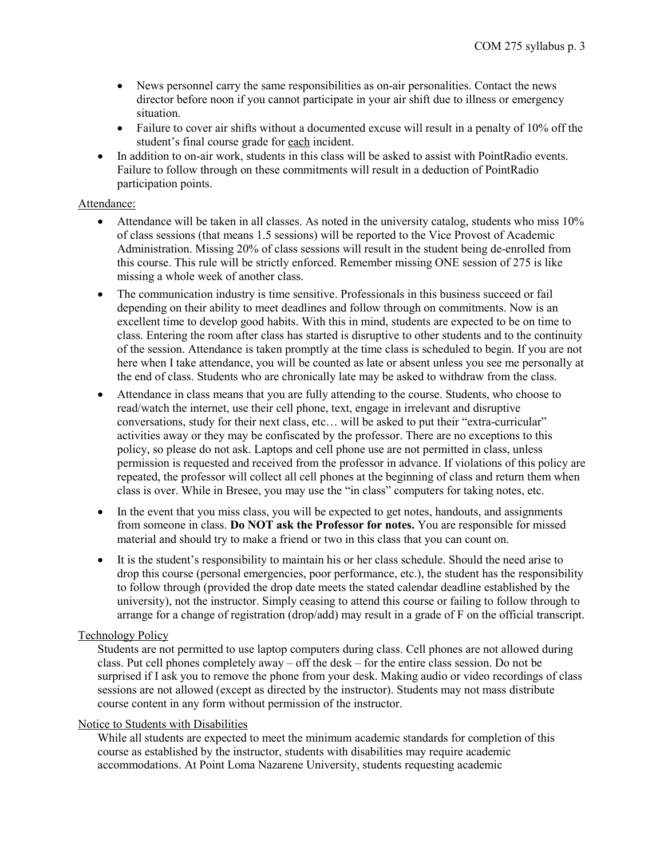- News personnel carry the same responsibilities as on-air personalities. Contact the news director before noon if you cannot participate in your air shift due to illness or emergency situation.
- Failure to cover air shifts without a documented excuse will result in a penalty of 10% off the student's final course grade for each incident.
- In addition to on-air work, students in this class will be asked to assist with PointRadio events. Failure to follow through on these commitments will result in a deduction of PointRadio participation points.

### Attendance:

- Attendance will be taken in all classes. As noted in the university catalog, students who miss 10% of class sessions (that means 1.5 sessions) will be reported to the Vice Provost of Academic Administration. Missing 20% of class sessions will result in the student being de-enrolled from this course. This rule will be strictly enforced. Remember missing ONE session of 275 is like missing a whole week of another class.
- The communication industry is time sensitive. Professionals in this business succeed or fail depending on their ability to meet deadlines and follow through on commitments. Now is an excellent time to develop good habits. With this in mind, students are expected to be on time to class. Entering the room after class has started is disruptive to other students and to the continuity of the session. Attendance is taken promptly at the time class is scheduled to begin. If you are not here when I take attendance, you will be counted as late or absent unless you see me personally at the end of class. Students who are chronically late may be asked to withdraw from the class.
- Attendance in class means that you are fully attending to the course. Students, who choose to read/watch the internet, use their cell phone, text, engage in irrelevant and disruptive conversations, study for their next class, etc… will be asked to put their "extra-curricular" activities away or they may be confiscated by the professor. There are no exceptions to this policy, so please do not ask. Laptops and cell phone use are not permitted in class, unless permission is requested and received from the professor in advance. If violations of this policy are repeated, the professor will collect all cell phones at the beginning of class and return them when class is over. While in Bresee, you may use the "in class" computers for taking notes, etc.
- In the event that you miss class, you will be expected to get notes, handouts, and assignments from someone in class. **Do NOT ask the Professor for notes.** You are responsible for missed material and should try to make a friend or two in this class that you can count on.
- It is the student's responsibility to maintain his or her class schedule. Should the need arise to drop this course (personal emergencies, poor performance, etc.), the student has the responsibility to follow through (provided the drop date meets the stated calendar deadline established by the university), not the instructor. Simply ceasing to attend this course or failing to follow through to arrange for a change of registration (drop/add) may result in a grade of F on the official transcript.

### Technology Policy

Students are not permitted to use laptop computers during class. Cell phones are not allowed during class. Put cell phones completely away – off the desk – for the entire class session. Do not be surprised if I ask you to remove the phone from your desk. Making audio or video recordings of class sessions are not allowed (except as directed by the instructor). Students may not mass distribute course content in any form without permission of the instructor.

### Notice to Students with Disabilities

While all students are expected to meet the minimum academic standards for completion of this course as established by the instructor, students with disabilities may require academic accommodations. At Point Loma Nazarene University, students requesting academic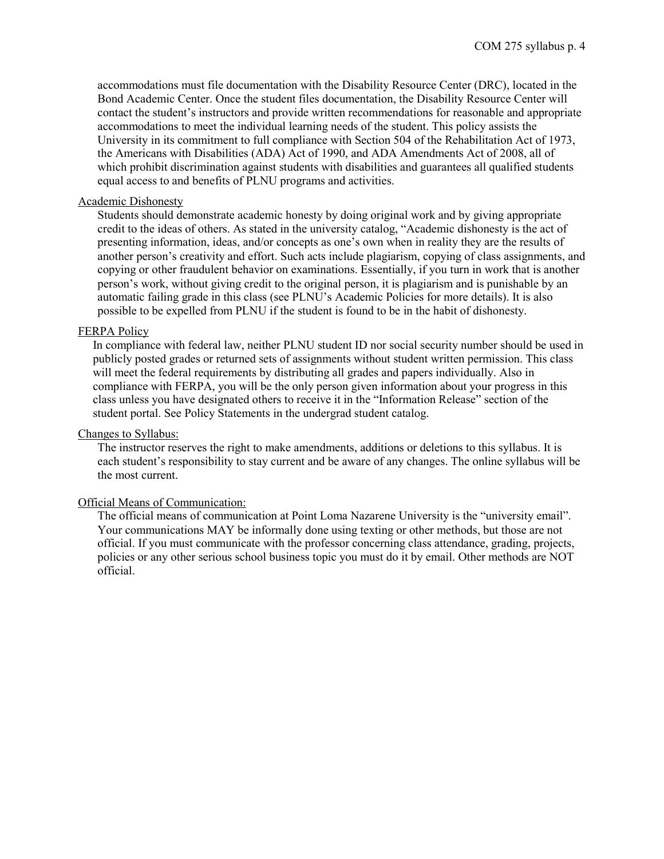accommodations must file documentation with the Disability Resource Center (DRC), located in the Bond Academic Center. Once the student files documentation, the Disability Resource Center will contact the student's instructors and provide written recommendations for reasonable and appropriate accommodations to meet the individual learning needs of the student. This policy assists the University in its commitment to full compliance with Section 504 of the Rehabilitation Act of 1973, the Americans with Disabilities (ADA) Act of 1990, and ADA Amendments Act of 2008, all of which prohibit discrimination against students with disabilities and guarantees all qualified students equal access to and benefits of PLNU programs and activities.

#### Academic Dishonesty

Students should demonstrate academic honesty by doing original work and by giving appropriate credit to the ideas of others. As stated in the university catalog, "Academic dishonesty is the act of presenting information, ideas, and/or concepts as one's own when in reality they are the results of another person's creativity and effort. Such acts include plagiarism, copying of class assignments, and copying or other fraudulent behavior on examinations. Essentially, if you turn in work that is another person's work, without giving credit to the original person, it is plagiarism and is punishable by an automatic failing grade in this class (see PLNU's Academic Policies for more details). It is also possible to be expelled from PLNU if the student is found to be in the habit of dishonesty.

#### FERPA Policy

In compliance with federal law, neither PLNU student ID nor social security number should be used in publicly posted grades or returned sets of assignments without student written permission. This class will meet the federal requirements by distributing all grades and papers individually. Also in compliance with FERPA, you will be the only person given information about your progress in this class unless you have designated others to receive it in the "Information Release" section of the student portal. See Policy Statements in the undergrad student catalog.

#### Changes to Syllabus:

The instructor reserves the right to make amendments, additions or deletions to this syllabus. It is each student's responsibility to stay current and be aware of any changes. The online syllabus will be the most current.

#### Official Means of Communication:

The official means of communication at Point Loma Nazarene University is the "university email". Your communications MAY be informally done using texting or other methods, but those are not official. If you must communicate with the professor concerning class attendance, grading, projects, policies or any other serious school business topic you must do it by email. Other methods are NOT official.